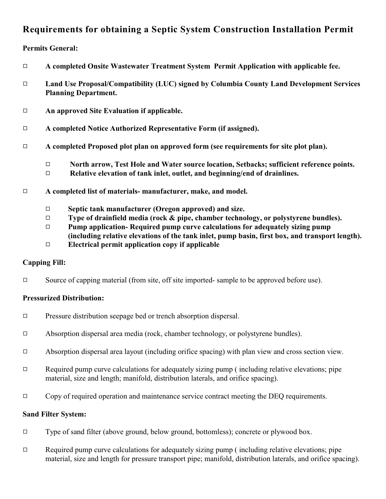# **Requirements for obtaining a Septic System Construction Installation Permit**

## **Permits General:**

| $\Box$ |                                                                  | A completed Onsite Wastewater Treatment System Permit Application with applicable fee.                                                                                 |  |
|--------|------------------------------------------------------------------|------------------------------------------------------------------------------------------------------------------------------------------------------------------------|--|
| $\Box$ |                                                                  | Land Use Proposal/Compatibility (LUC) signed by Columbia County Land Development Services<br><b>Planning Department.</b>                                               |  |
| $\Box$ | An approved Site Evaluation if applicable.                       |                                                                                                                                                                        |  |
| $\Box$ | A completed Notice Authorized Representative Form (if assigned). |                                                                                                                                                                        |  |
| $\Box$ |                                                                  | A completed Proposed plot plan on approved form (see requirements for site plot plan).                                                                                 |  |
|        | $\Box$<br>$\Box$                                                 | North arrow, Test Hole and Water source location, Setbacks; sufficient reference points.<br>Relative elevation of tank inlet, outlet, and beginning/end of drainlines. |  |
| □      | A completed list of materials- manufacturer, make, and model.    |                                                                                                                                                                        |  |

- 9 **Septic tank manufacturer (Oregon approved) and size.**
	- 9 **Type of drainfield media (rock & pipe, chamber technology, or polystyrene bundles).**
	- 9 **Pump application- Required pump curve calculations for adequately sizing pump (including relative elevations of the tank inlet, pump basin, first box, and transport length).**
	- 9 **Electrical permit application copy if applicable**

### **Capping Fill:**

 $\Box$  Source of capping material (from site, off site imported- sample to be approved before use).

### **Pressurized Distribution:**

- $\Box$  Pressure distribution seepage bed or trench absorption dispersal.
- $\Box$  Absorption dispersal area media (rock, chamber technology, or polystyrene bundles).
- $\Box$  Absorption dispersal area layout (including orifice spacing) with plan view and cross section view.
- $\Box$  Required pump curve calculations for adequately sizing pump ( including relative elevations; pipe material, size and length; manifold, distribution laterals, and orifice spacing).
- $\Box$  Copy of required operation and maintenance service contract meeting the DEQ requirements.

### **Sand Filter System:**

- $\Box$  Type of sand filter (above ground, below ground, bottomless); concrete or plywood box.
- $\Box$  Required pump curve calculations for adequately sizing pump ( including relative elevations; pipe material, size and length for pressure transport pipe; manifold, distribution laterals, and orifice spacing).